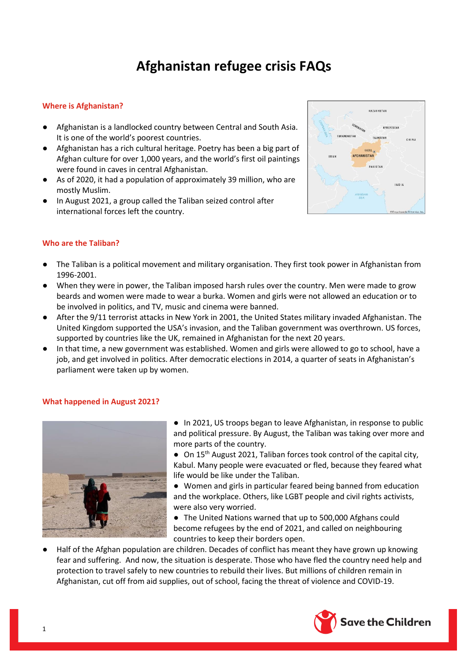# **Afghanistan refugee crisis FAQs**

## **Where is Afghanistan?**

- Afghanistan is a landlocked country between Central and South Asia. It is one of the world's poorest countries.
- Afghanistan has a rich cultural heritage. Poetry has been a big part of Afghan culture for over 1,000 years, and the world's first oil paintings were found in caves in central Afghanistan.
- As of 2020, it had a population of approximately 39 million, who are mostly Muslim.
- In August 2021, a group called the Taliban seized control after international forces left the country.



### **Who are the Taliban?**

- The Taliban is a political movement and military organisation. They first took power in Afghanistan from 1996-2001.
- When they were in power, the Taliban imposed harsh rules over the country. Men were made to grow beards and women were made to wear a burka. Women and girls were not allowed an education or to be involved in politics, and TV, music and cinema were banned.
- After the 9/11 terrorist attacks in New York in 2001, the United States military invaded Afghanistan. The United Kingdom supported the USA's invasion, and the Taliban government was overthrown. US forces, supported by countries like the UK, remained in Afghanistan for the next 20 years.
- In that time, a new government was established. Women and girls were allowed to go to school, have a job, and get involved in politics. After democratic elections in 2014, a quarter of seats in Afghanistan's parliament were taken up by women.

### **What happened in August 2021?**



● In 2021, US troops began to leave Afghanistan, in response to public and political pressure. By August, the Taliban was taking over more and more parts of the country.

● On 15<sup>th</sup> August 2021, Taliban forces took control of the capital city, Kabul. Many people were evacuated or fled, because they feared what life would be like under the Taliban.

● Women and girls in particular feared being banned from education and the workplace. Others, like LGBT people and civil rights activists, were also very worried.

● The United Nations warned that up to 500,000 Afghans could become refugees by the end of 2021, and called on neighbouring countries to keep their borders open.

Half of the Afghan population are children. Decades of conflict has meant they have grown up knowing fear and suffering. And now, the situation is desperate. Those who have fled the country need help and protection to travel safely to new countries to rebuild their lives. But millions of children remain in Afghanistan, cut off from aid supplies, out of school, facing the threat of violence and COVID-19.